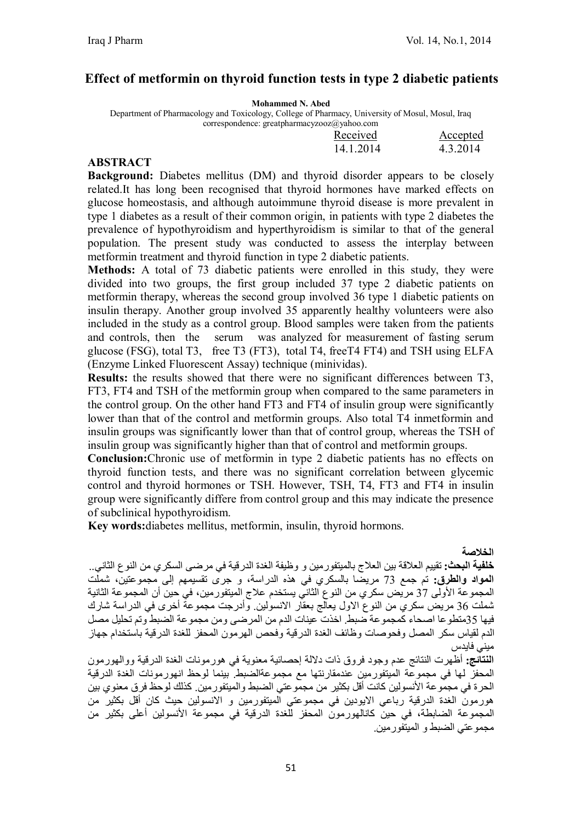### **Effect of metformin on thyroid function tests in type 2 diabetic patients**

|  |  | <b>Mohammed N. Abed</b> |  |
|--|--|-------------------------|--|
|--|--|-------------------------|--|

Department of Pharmacology and Toxicology, College of Pharmacy, University of Mosul, Mosul, Iraq correspondence: greatpharmacyzooz@yahoo.com

|  |  | .<br>Received | Accepted |
|--|--|---------------|----------|
|  |  | 14.1.2014     | 4.3.2014 |

#### **ABSTRACT**

**Background:** Diabetes mellitus (DM) and thyroid disorder appears to be closely related.It has long been recognised that thyroid hormones have marked effects on glucose homeostasis, and although autoimmune thyroid disease is more prevalent in type 1 diabetes as a result of their common origin, in patients with type 2 diabetes the prevalence of hypothyroidism and hyperthyroidism is similar to that of the general population. The present study was conducted to assess the interplay between metformin treatment and thyroid function in type 2 diabetic patients.

**Methods:** A total of 73 diabetic patients were enrolled in this study, they were divided into two groups, the first group included 37 type 2 diabetic patients on metformin therapy, whereas the second group involved 36 type 1 diabetic patients on insulin therapy. Another group involved 35 apparently healthy volunteers were also included in the study as a control group. Blood samples were taken from the patients and controls, then the serum was analyzed for measurement of fasting serum glucose (FSG), total T3, free T3 (FT3), total T4, freeT4 FT4) and TSH using ELFA (Enzyme Linked Fluorescent Assay) technique (minividas).

**Results:** the results showed that there were no significant differences between T3, FT3, FT4 and TSH of the metformin group when compared to the same parameters in the control group. On the other hand FT3 and FT4 of insulin group were significantly lower than that of the control and metformin groups. Also total T4 inmetformin and insulin groups was significantly lower than that of control group, whereas the TSH of insulin group was significantly higher than that of control and metformin groups.

**Conclusion:**Chronic use of metformin in type 2 diabetic patients has no effects on thyroid function tests, and there was no significant correlation between glycemic control and thyroid hormones or TSH. However, TSH, T4, FT3 and FT4 in insulin group were significantly differe from control group and this may indicate the presence of subclinical hypothyroidism.

**Key words:**diabetes mellitus, metformin, insulin, thyroid hormons.

**الخلاصة** 

**خلفیة البحث:** تقییم العلاقة بین العلاج بالمیتفورمین و وظیفة الغدة الدرقیة في مرضى السكري من النوع الثاني.. **المواد والطرق:** تم جمع 73 مریضا بالسكري في ھذه الدراسة، و جرى تقسیمھم إلى مجموعتین، شملت المجموعة الأولى 37 مریض سكري من النوع الثاني یستخدم علاج المیتفورمین، في حین أن المجموعة الثانیة شملت 36 مریض سكري من النوع الاول یعالج بعقار الانسولین. وأدرجت مجموعة أخرى في الدراسة شارك فیھا 35متطوعا اصحاء كمجموعة ضبط. اخذت عینات الدم من المرضى ومن مجموعة الضبط وتم تحلیل مصل الدم لقیاس سكر المصل وفحوصات وظائف الغدة الدرقیة وفحص الھرمون المحفز للغدة الدرقیة باستخدام جھاز میني فایدس

**النتائج:** أظھرت النتائج عدم وجود فروق ذات دلالة إحصائیة معنویة في ھورمونات الغدة الدرقیة ووالھورمون المحفز لھا في مجموعة المیتفورمین عندمقارنتھا مع مجموعةالضبط. بینما لوحظ انھورمونات الغدة الدرقیة الحرة في مجموعة الأنسولین كانت أقل بكثیر من مجموعتي الضبط والمیتفورمین. كذلك لوحظ فرق معنوي بین ھورمون الغدة الدرقیة رباعي الایودین في مجموعتي المیتفورمین و الانسولین حیث كان أقل بكثیر من المجموعة الضابطة، في حین كانالھورمون المحفز للغدة الدرقیة في مجموعة الأنسولین أعلى بكثیر من مجموعتي الضبط و المیتفورمین.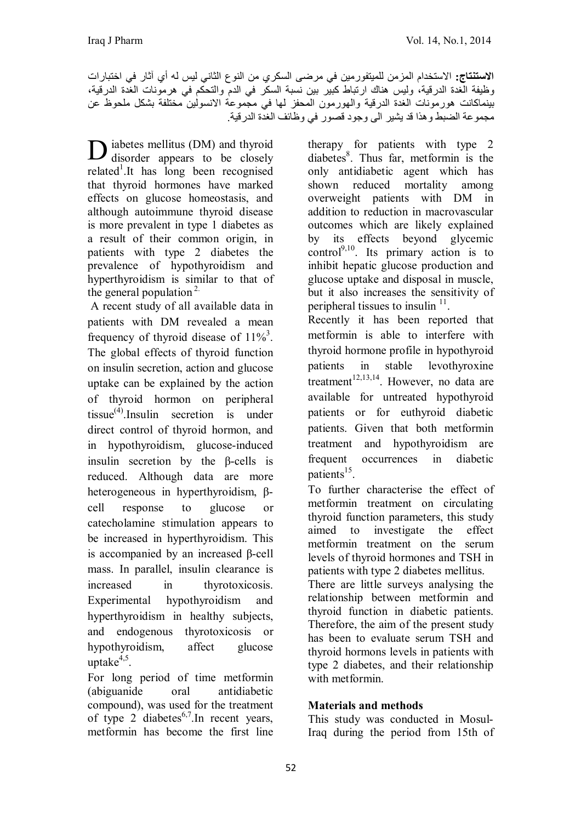**الاستنتاج:** الاستخدام المزمن للمیتفورمین في مرضى السكري من النوع الثاني لیس لھ أي آثار في اختبارات وظیفة الغدة الدرقیة، ولیس ھناك ارتباط كبیر بین نسبة السكر في الدم والتحكم في ھرمونات الغدة الدرقیة، بینماكانت ھورمونات الغدة الدرقیة والھورمون المحفز لھا في مجموعة الانسولین مختلفة بشكل ملحوظ عن مجموعة الضبط وھذا قد یشیر الى وجود قصور في وظائف الغدة الدرقیة.

iabetes mellitus (DM) and thyroid D iabetes mellitus (DM) and thyroid<br>disorder appears to be closely related<sup>1</sup>.It has long been recognised that thyroid hormones have marked effects on glucose homeostasis, and although autoimmune thyroid disease is more prevalent in type 1 diabetes as a result of their common origin, in patients with type 2 diabetes the prevalence of hypothyroidism and hyperthyroidism is similar to that of the general population<sup>2.</sup>

A recent study of all available data in patients with DM revealed a mean frequency of thyroid disease of  $11\%$ <sup>3</sup>. The global effects of thyroid function on insulin secretion, action and glucose uptake can be explained by the action of thyroid hormon on peripheral tissue(4) .Insulin secretion is under direct control of thyroid hormon, and in hypothyroidism, glucose-induced insulin secretion by the β-cells is reduced. Although data are more heterogeneous in hyperthyroidism, βcell response to glucose or catecholamine stimulation appears to be increased in hyperthyroidism. This is accompanied by an increased β-cell mass. In parallel, insulin clearance is increased in thyrotoxicosis. Experimental hypothyroidism and hyperthyroidism in healthy subjects, and endogenous thyrotoxicosis or hypothyroidism, affect glucose  $uptake<sup>4,5</sup>$ .

For long period of time metformin (abiguanide oral antidiabetic compound), was used for the treatment of type 2 diabetes<sup>6,7</sup>. In recent years, metformin has become the first line

therapy for patients with type 2 diabetes<sup>8</sup>. Thus far, metformin is the only antidiabetic agent which has shown reduced mortality among overweight patients with DM in addition to reduction in macrovascular outcomes which are likely explained by its effects beyond glycemic control<sup>9,10</sup>. Its primary action is to inhibit hepatic glucose production and glucose uptake and disposal in muscle, but it also increases the sensitivity of peripheral tissues to insulin  $11$ .

Recently it has been reported that metformin is able to interfere with thyroid hormone profile in hypothyroid patients in stable levothyroxine treatment $12,13,14$ . However, no data are available for untreated hypothyroid patients or for euthyroid diabetic patients. Given that both metformin treatment and hypothyroidism are frequent occurrences in diabetic patients<sup>15</sup>.

To further characterise the effect of metformin treatment on circulating thyroid function parameters, this study aimed to investigate the effect metformin treatment on the serum levels of thyroid hormones and TSH in patients with type 2 diabetes mellitus. There are little surveys analysing the relationship between metformin and thyroid function in diabetic patients. Therefore, the aim of the present study

has been to evaluate serum TSH and thyroid hormons levels in patients with type 2 diabetes, and their relationship with metformin.

## **Materials and methods**

This study was conducted in Mosul-Iraq during the period from 15th of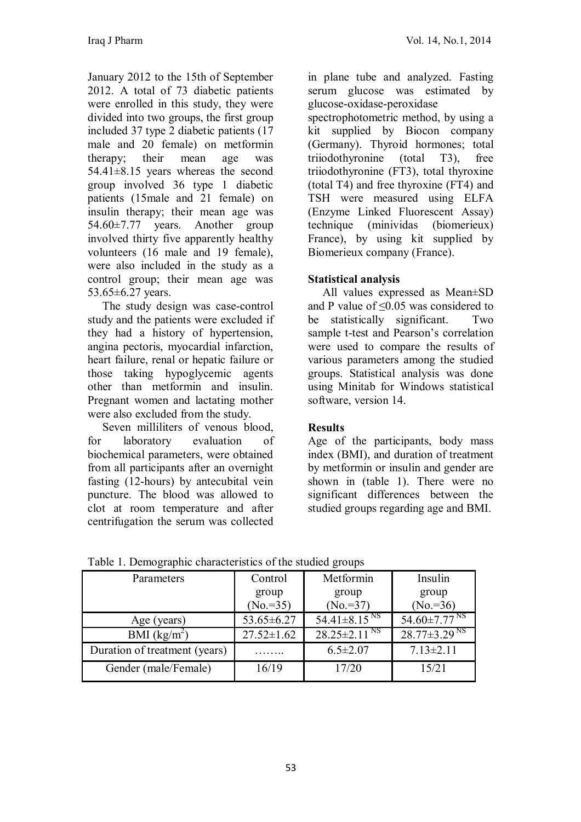January 2012 to the 15th of September 2012. A total of 73 diabetic patients were enrolled in this study, they were divided into two groups, the first group included 37 type 2 diabetic patients (17 male and 20 female) on metformin therapy; their mean age was 54.41±8.15 years whereas the second group involved 36 type 1 diabetic patients (15male and 21 female) on insulin therapy; their mean age was 54.60±7.77 years. Another group involved thirty five apparently healthy volunteers (16 male and 19 female), were also included in the study as a control group; their mean age was 53.65±6.27 years.

 The study design was case-control study and the patients were excluded if they had a history of hypertension, angina pectoris, myocardial infarction, heart failure, renal or hepatic failure or those taking hypoglycemic agents other than metformin and insulin. Pregnant women and lactating mother were also excluded from the study.

 Seven milliliters of venous blood, for laboratory evaluation of biochemical parameters, were obtained from all participants after an overnight fasting (12-hours) by antecubital vein puncture. The blood was allowed to clot at room temperature and after centrifugation the serum was collected in plane tube and analyzed. Fasting serum glucose was estimated by glucose-oxidase-peroxidase spectrophotometric method, by using a kit supplied by Biocon company (Germany). Thyroid hormones; total triiodothyronine (total T3), free triiodothyronine (FT3), total thyroxine (total T4) and free thyroxine (FT4) and TSH were measured using ELFA (Enzyme Linked Fluorescent Assay) technique (minividas (biomerieux) France), by using kit supplied by Biomerieux company (France).

## **Statistical analysis**

 All values expressed as Mean±SD and P value of ≤0.05 was considered to be statistically significant. Two sample t-test and Pearson's correlation were used to compare the results of various parameters among the studied groups. Statistical analysis was done using Minitab for Windows statistical software, version 14.

## **Results**

Age of the participants, body mass index (BMI), and duration of treatment by metformin or insulin and gender are shown in (table 1). There were no significant differences between the studied groups regarding age and BMI.

| Parameters                    | Control          | Metformin                      | Insulin                        |  |
|-------------------------------|------------------|--------------------------------|--------------------------------|--|
|                               | group            | group                          | group                          |  |
|                               | $(No. = 35)$     | $(No. = 37)$                   | $(No. = 36)$                   |  |
| Age (years)                   | $53.65 \pm 6.27$ | $54.41 \pm 8.15$ <sup>NS</sup> | 54.60 $\pm$ 7.77 <sup>NS</sup> |  |
| BMI $(kg/m^2)$                | $27.52 \pm 1.62$ | $28.25 \pm 2.11$ <sup>NS</sup> | $28.77 \pm 3.29$ <sup>NS</sup> |  |
| Duration of treatment (years) |                  | $6.5 \pm 2.07$                 | $7.13 \pm 2.11$                |  |
| Gender (male/Female)          | 16/19            | 17/20                          | 15/21                          |  |

Table 1. Demographic characteristics of the studied groups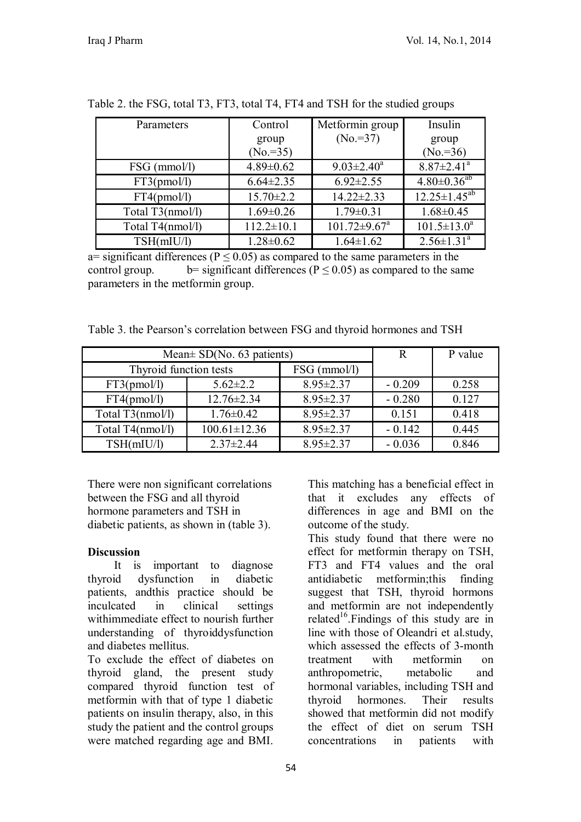| Parameters       | Control             | Metformin group                | Insulin                      |  |
|------------------|---------------------|--------------------------------|------------------------------|--|
|                  | group<br>$(No.=35)$ | $(No. = 37)$                   | group<br>$(No. = 36)$        |  |
| $FSG$ (mmol/l)   | $4.89 \pm 0.62$     | $9.03 \pm 2.40^a$              | $8.87 \pm 2.41$ <sup>a</sup> |  |
| FT3(pmol/l)      | $6.64 \pm 2.35$     | $6.92 \pm 2.55$                | $4.80 \pm 0.36^{ab}$         |  |
| FT4(pmol/l)      | $15.70 \pm 2.2$     | $14.22 \pm 2.33$               | $12.25 \pm 1.45^{ab}$        |  |
| Total T3(nmol/l) | $1.69 \pm 0.26$     | $1.79 \pm 0.31$                | $1.68 \pm 0.45$              |  |
| Total T4(nmol/l) | $112.2 \pm 10.1$    | $101.72 \pm 9.67$ <sup>a</sup> | $101.5 \pm 13.0^a$           |  |
| TSH(mIU/l)       | $1.28 \pm 0.62$     | $1.64 \pm 1.62$                | $2.56 \pm 1.31$ <sup>a</sup> |  |

Table 2. the FSG, total T3, FT3, total T4, FT4 and TSH for the studied groups

a= significant differences ( $P \le 0.05$ ) as compared to the same parameters in the control group. b= significant differences ( $P \le 0.05$ ) as compared to the same parameters in the metformin group.

Table 3. the Pearson's correlation between FSG and thyroid hormones and TSH

| Mean $\pm$ SD(No. 63 patients) | R                  | P value         |          |       |
|--------------------------------|--------------------|-----------------|----------|-------|
| Thyroid function tests         |                    | $FSG$ (mmol/l)  |          |       |
| FT3(pmol/l)                    | $5.62 \pm 2.2$     | $8.95 \pm 2.37$ | $-0.209$ | 0.258 |
| FT4(pmol/l)                    | $12.76 \pm 2.34$   | $8.95 \pm 2.37$ | $-0.280$ | 0.127 |
| Total T3(nmol/l)               | $1.76 \pm 0.42$    | $8.95 \pm 2.37$ | 0.151    | 0.418 |
| Total T4(nmol/l)               | $100.61 \pm 12.36$ | $8.95 \pm 2.37$ | $-0.142$ | 0.445 |
| TSH(mIU/l)                     | $2.37 \pm 2.44$    | $8.95 \pm 2.37$ | $-0.036$ | 0.846 |

There were non significant correlations between the FSG and all thyroid hormone parameters and TSH in diabetic patients, as shown in (table 3).

## **Discussion**

 It is important to diagnose thyroid dysfunction in diabetic patients, andthis practice should be inculcated in clinical settings withimmediate effect to nourish further understanding of thyroiddysfunction and diabetes mellitus.

To exclude the effect of diabetes on thyroid gland, the present study compared thyroid function test of metformin with that of type 1 diabetic patients on insulin therapy, also, in this study the patient and the control groups were matched regarding age and BMI.

This matching has a beneficial effect in that it excludes any effects of differences in age and BMI on the outcome of the study.

This study found that there were no effect for metformin therapy on TSH, FT3 and FT4 values and the oral antidiabetic metformin;this finding suggest that TSH, thyroid hormons and metformin are not independently related<sup>16</sup>. Findings of this study are in line with those of Oleandri et al.study, which assessed the effects of 3-month treatment with metformin on anthropometric, metabolic and hormonal variables, including TSH and thyroid hormones. Their results showed that metformin did not modify the effect of diet on serum TSH concentrations in patients with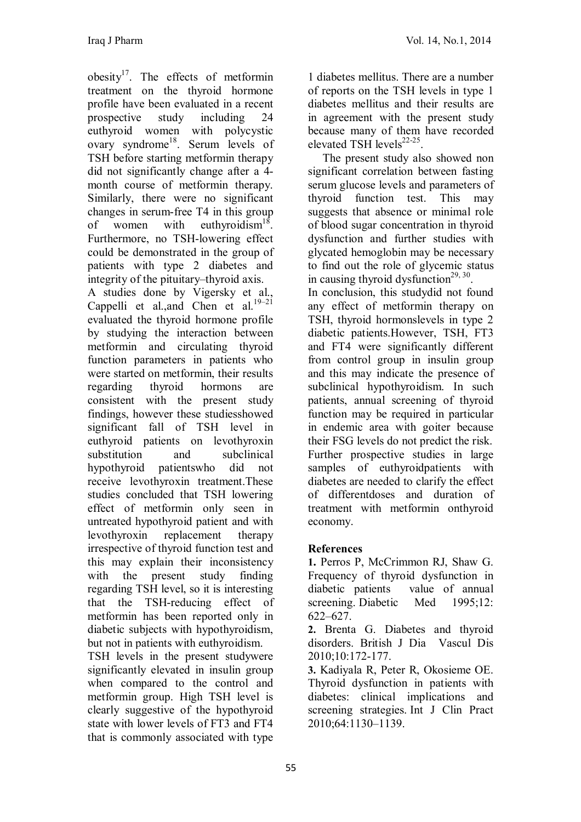obesity $17$ . The effects of metformin treatment on the thyroid hormone profile have been evaluated in a recent prospective study including 24 euthyroid women with polycystic ovary syndrome<sup>18</sup>. Serum levels of TSH before starting metformin therapy did not significantly change after a 4 month course of metformin therapy. Similarly, there were no significant changes in serum-free T4 in this group of women with euthyroidism<sup>18</sup>. Furthermore, no TSH-lowering effect could be demonstrated in the group of patients with type 2 diabetes and integrity of the pituitary–thyroid axis.

A studies done by Vigersky et al., Cappelli et al., and Chen et al.  $19-21$ evaluated the thyroid hormone profile by studying the interaction between metformin and circulating thyroid function parameters in patients who were started on metformin, their results regarding thyroid hormons are consistent with the present study findings, however these studiesshowed significant fall of TSH level in euthyroid patients on levothyroxin substitution and subclinical hypothyroid patientswho did not receive levothyroxin treatment.These studies concluded that TSH lowering effect of metformin only seen in untreated hypothyroid patient and with levothyroxin replacement therapy irrespective of thyroid function test and this may explain their inconsistency with the present study finding regarding TSH level, so it is interesting that the TSH-reducing effect of metformin has been reported only in diabetic subjects with hypothyroidism, but not in patients with euthyroidism.

TSH levels in the present studywere significantly elevated in insulin group when compared to the control and metformin group. High TSH level is clearly suggestive of the hypothyroid state with lower levels of FT3 and FT4 that is commonly associated with type

1 diabetes mellitus. There are a number of reports on the TSH levels in type 1 diabetes mellitus and their results are in agreement with the present study because many of them have recorded elevated TSH levels $^{22-25}$ .

 The present study also showed non significant correlation between fasting serum glucose levels and parameters of thyroid function test. This may suggests that absence or minimal role of blood sugar concentration in thyroid dysfunction and further studies with glycated hemoglobin may be necessary to find out the role of glycemic status in causing thyroid dysfunction<sup>29, 30</sup>.

In conclusion, this studydid not found any effect of metformin therapy on TSH, thyroid hormonslevels in type 2 diabetic patients.However, TSH, FT3 and FT4 were significantly different from control group in insulin group and this may indicate the presence of subclinical hypothyroidism. In such patients, annual screening of thyroid function may be required in particular in endemic area with goiter because their FSG levels do not predict the risk. Further prospective studies in large samples of euthyroidpatients with diabetes are needed to clarify the effect of differentdoses and duration of treatment with metformin onthyroid economy.

# **References**

**1.** Perros P, McCrimmon RJ, Shaw G. Frequency of thyroid dysfunction in diabetic patients value of annual screening. Diabetic Med 1995;12: 622–627.

**2.** Brenta G. Diabetes and thyroid disorders. British J Dia Vascul Dis 2010;10:172-177.

**3.** Kadiyala R, Peter R, Okosieme OE. Thyroid dysfunction in patients with diabetes: clinical implications and screening strategies. Int J Clin Pract 2010;64:1130–1139.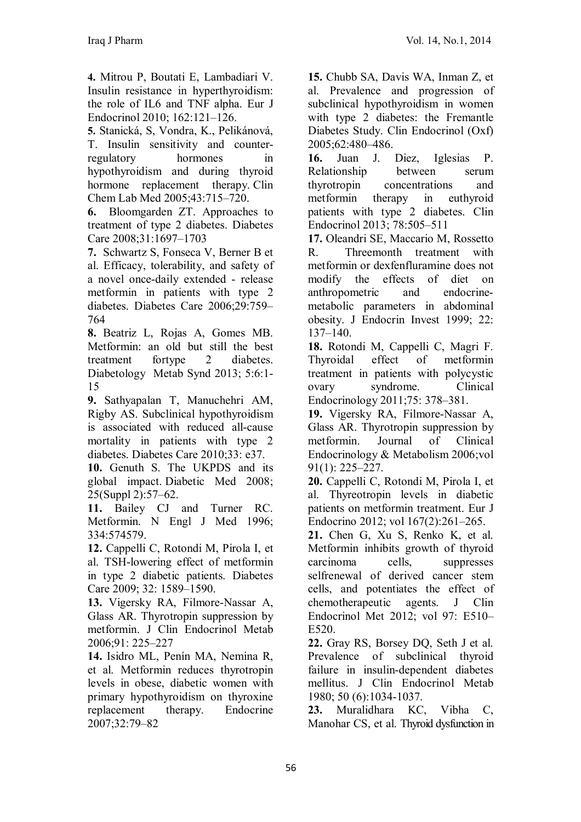**4.** Mitrou P, Boutati E, Lambadiari V. Insulin resistance in hyperthyroidism: the role of IL6 and TNF alpha. Eur J Endocrinol 2010; 162:121–126.

**5.** Stanická, S, Vondra, K., Pelikánová, T. Insulin sensitivity and counterregulatory hormones in hypothyroidism and during thyroid hormone replacement therapy. Clin Chem Lab Med 2005;43:715–720.

**6.** Bloomgarden ZT. Approaches to treatment of type 2 diabetes. Diabetes Care 2008;31:1697–1703

**7.** Schwartz S, Fonseca V, Berner B et al. Efficacy, tolerability, and safety of a novel once-daily extended - release metformin in patients with type 2 diabetes. Diabetes Care 2006;29:759– 764

**8.** Beatriz L, Rojas A, Gomes MB. Metformin: an old but still the best treatment fortype 2 diabetes. Diabetology Metab Synd 2013; 5:6:1- 15

**9.** Sathyapalan T, Manuchehri AM, Rigby AS. Subclinical hypothyroidism is associated with reduced all-cause mortality in patients with type 2 diabetes. Diabetes Care 2010;33: e37.

**10.** Genuth S. The UKPDS and its global impact. Diabetic Med 2008; 25(Suppl 2):57–62.

**11.** Bailey CJ and Turner RC. Metformin. N Engl J Med 1996; 334:574579.

**12.** Cappelli C, Rotondi M, Pirola I, et al. TSH-lowering effect of metformin in type 2 diabetic patients. Diabetes Care 2009; 32: 1589–1590.

**13.** Vigersky RA, Filmore-Nassar A, Glass AR. Thyrotropin suppression by metformin. J Clin Endocrinol Metab 2006;91: 225–227

**14.** Isidro ML, Penín MA, Nemina R, et al. Metformin reduces thyrotropin levels in obese, diabetic women with primary hypothyroidism on thyroxine replacement therapy. Endocrine 2007;32:79–82

**15.** Chubb SA, Davis WA, Inman Z, et al. Prevalence and progression of subclinical hypothyroidism in women with type 2 diabetes: the Fremantle Diabetes Study. Clin Endocrinol (Oxf) 2005;62:480–486.

**16.** Juan J. Diez, Iglesias P. Relationship between serum thyrotropin concentrations and metformin therapy in euthyroid patients with type 2 diabetes. Clin Endocrinol 2013; 78:505–511

**17.** Oleandri SE, Maccario M, Rossetto R. Threemonth treatment with metformin or dexfenfluramine does not modify the effects of diet on anthropometric and endocrinemetabolic parameters in abdominal obesity. J Endocrin Invest 1999; 22: 137–140.

**18.** Rotondi M, Cappelli C, Magri F. Thyroidal effect of metformin treatment in patients with polycystic ovary syndrome. Clinical Endocrinology 2011;75: 378–381.

**19.** Vigersky RA, Filmore-Nassar A, Glass AR. Thyrotropin suppression by metformin. Journal of Clinical Endocrinology & Metabolism 2006;vol 91(1): 225–227.

**20.** Cappelli C, Rotondi M, Pirola I, et al. Thyreotropin levels in diabetic patients on metformin treatment. Eur J Endocrino 2012; vol 167(2):261–265.

**21.** Chen G, Xu S, Renko K, et al. Metformin inhibits growth of thyroid carcinoma cells, suppresses selfrenewal of derived cancer stem cells, and potentiates the effect of chemotherapeutic agents. J Clin Endocrinol Met 2012; vol 97: E510– E520.

**22.** Gray RS, Borsey DQ, Seth J et al. Prevalence of subclinical thyroid failure in insulin-dependent diabetes mellitus. J Clin Endocrinol Metab 1980; 50 (6):1034-1037.

**23.** Muralidhara KC, Vibha C, Manohar CS, et al. Thyroid dysfunction in